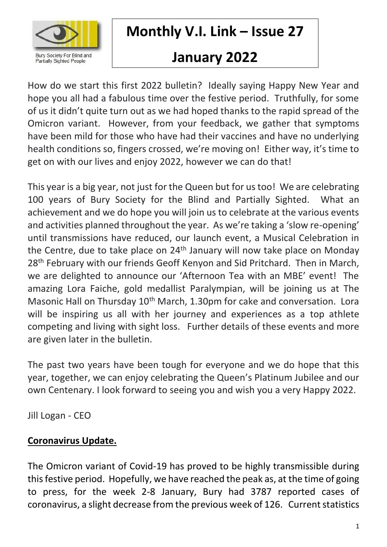

**Monthly V.I. Link – Issue 27**

# **January 2022**

How do we start this first 2022 bulletin? Ideally saying Happy New Year and hope you all had a fabulous time over the festive period. Truthfully, for some of us it didn't quite turn out as we had hoped thanks to the rapid spread of the Omicron variant. However, from your feedback, we gather that symptoms have been mild for those who have had their vaccines and have no underlying health conditions so, fingers crossed, we're moving on! Either way, it's time to get on with our lives and enjoy 2022, however we can do that!

This year is a big year, not just for the Queen but for us too! We are celebrating 100 years of Bury Society for the Blind and Partially Sighted. What an achievement and we do hope you will join us to celebrate at the various events and activities planned throughout the year. As we're taking a 'slow re-opening' until transmissions have reduced, our launch event, a Musical Celebration in the Centre, due to take place on 24<sup>th</sup> January will now take place on Monday 28<sup>th</sup> February with our friends Geoff Kenyon and Sid Pritchard. Then in March, we are delighted to announce our 'Afternoon Tea with an MBE' event! The amazing Lora Faiche, gold medallist Paralympian, will be joining us at The Masonic Hall on Thursday 10<sup>th</sup> March, 1.30pm for cake and conversation. Lora will be inspiring us all with her journey and experiences as a top athlete competing and living with sight loss. Further details of these events and more are given later in the bulletin.

The past two years have been tough for everyone and we do hope that this year, together, we can enjoy celebrating the Queen's Platinum Jubilee and our own Centenary. I look forward to seeing you and wish you a very Happy 2022.

Jill Logan - CEO

## **Coronavirus Update.**

The Omicron variant of Covid-19 has proved to be highly transmissible during this festive period. Hopefully, we have reached the peak as, at the time of going to press, for the week 2-8 January, Bury had 3787 reported cases of coronavirus, a slight decrease from the previous week of 126. Current statistics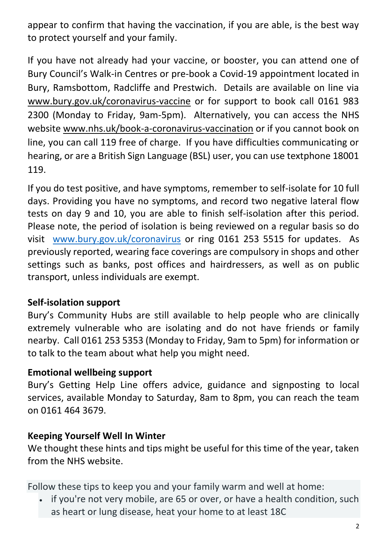appear to confirm that having the vaccination, if you are able, is the best way to protect yourself and your family.

If you have not already had your vaccine, or booster, you can attend one of Bury Council's Walk-in Centres or pre-book a Covid-19 appointment located in Bury, Ramsbottom, Radcliffe and Prestwich. Details are available on line via [www.bury.gov.uk/coronavirus-vaccine](http://www.bury.gov.uk/coronavirus-vaccine) or for support to book call 0161 983 2300 (Monday to Friday, 9am-5pm). Alternatively, you can access the NHS website [www.nhs.uk/book-a-coronavirus-vaccination](http://www.nhs.uk/book-a-coronavirus-vaccination) or if you cannot book on line, you can call 119 free of charge. If you have difficulties communicating or hearing, or are a British Sign Language (BSL) user, you can use textphone 18001 119.

If you do test positive, and have symptoms, remember to self-isolate for 10 full days. Providing you have no symptoms, and record two negative lateral flow tests on day 9 and 10, you are able to finish self-isolation after this period. Please note, the period of isolation is being reviewed on a regular basis so do visit [www.bury.gov.uk/coronavirus](http://www.bury.gov.uk/coronavirus) or ring 0161 253 5515 for updates. As previously reported, wearing face coverings are compulsory in shops and other settings such as banks, post offices and hairdressers, as well as on public transport, unless individuals are exempt.

#### **Self-isolation support**

Bury's Community Hubs are still available to help people who are clinically extremely vulnerable who are isolating and do not have friends or family nearby. Call 0161 253 5353 (Monday to Friday, 9am to 5pm) for information or to talk to the team about what help you might need.

#### **Emotional wellbeing support**

Bury's Getting Help Line offers advice, guidance and signposting to local services, available Monday to Saturday, 8am to 8pm, you can reach the team on 0161 464 3679.

#### **Keeping Yourself Well In Winter**

We thought these hints and tips might be useful for this time of the year, taken from the NHS website.

Follow these tips to keep you and your family warm and well at home:

• if you're not very mobile, are 65 or over, or have a health condition, such as heart or lung disease, heat your home to at least 18C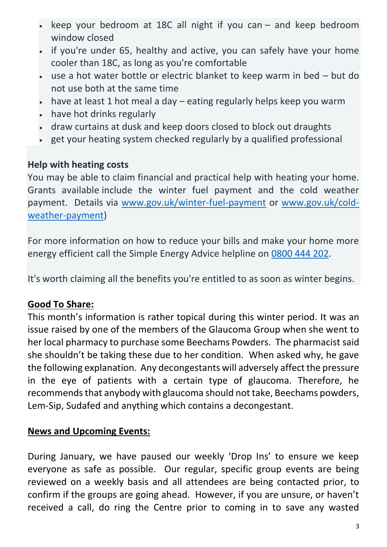- keep your bedroom at 18C all night if you can and keep bedroom window closed
- if you're under 65, healthy and active, you can safely have your home cooler than 18C, as long as you're comfortable
- use a hot water bottle or electric blanket to keep warm in bed but do not use both at the same time
- have at least 1 hot meal a day eating regularly helps keep you warm
- have hot drinks regularly
- draw curtains at dusk and keep doors closed to block out draughts
- get your heating system checked regularly by a qualified professional

#### **Help with heating costs**

You may be able to claim financial and practical help with heating your home. Grants available include the winter fuel payment and the cold weather payment. Details via [www.gov.uk/winter-fuel-payment](http://www.gov.uk/winter-fuel-payment) or [www.gov.uk/cold](http://www.gov.uk/cold-weather-payment)[weather-payment\)](http://www.gov.uk/cold-weather-payment)

For more information on how to reduce your bills and make your home more energy efficient call the Simple Energy Advice helpline on [0800 444 202.](tel:%200200%20444%20202)

It's worth claiming all the benefits you're entitled to as soon as winter begins.

#### **Good To Share:**

This month's information is rather topical during this winter period. It was an issue raised by one of the members of the Glaucoma Group when she went to her local pharmacy to purchase some Beechams Powders. The pharmacist said she shouldn't be taking these due to her condition. When asked why, he gave the following explanation. Any decongestants will adversely affect the pressure in the eye of patients with a certain type of glaucoma. Therefore, he recommends that anybody with glaucoma should not take, Beechams powders, Lem-Sip, Sudafed and anything which contains a decongestant.

#### **News and Upcoming Events:**

During January, we have paused our weekly 'Drop Ins' to ensure we keep everyone as safe as possible. Our regular, specific group events are being reviewed on a weekly basis and all attendees are being contacted prior, to confirm if the groups are going ahead. However, if you are unsure, or haven't received a call, do ring the Centre prior to coming in to save any wasted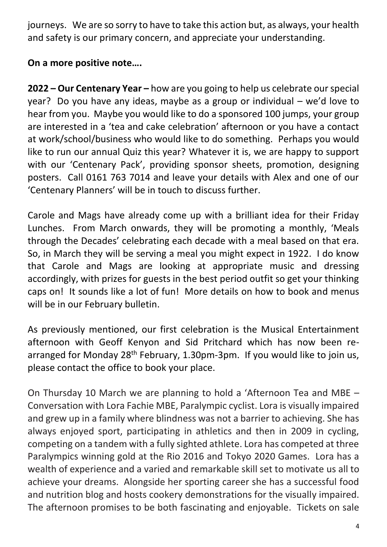journeys. We are so sorry to have to take this action but, as always, your health and safety is our primary concern, and appreciate your understanding.

#### **On a more positive note….**

**2022 – Our Centenary Year –** how are you going to help us celebrate our special year? Do you have any ideas, maybe as a group or individual – we'd love to hear from you. Maybe you would like to do a sponsored 100 jumps, your group are interested in a 'tea and cake celebration' afternoon or you have a contact at work/school/business who would like to do something. Perhaps you would like to run our annual Quiz this year? Whatever it is, we are happy to support with our 'Centenary Pack', providing sponsor sheets, promotion, designing posters. Call 0161 763 7014 and leave your details with Alex and one of our 'Centenary Planners' will be in touch to discuss further.

Carole and Mags have already come up with a brilliant idea for their Friday Lunches. From March onwards, they will be promoting a monthly, 'Meals through the Decades' celebrating each decade with a meal based on that era. So, in March they will be serving a meal you might expect in 1922. I do know that Carole and Mags are looking at appropriate music and dressing accordingly, with prizes for guests in the best period outfit so get your thinking caps on! It sounds like a lot of fun! More details on how to book and menus will be in our February bulletin.

As previously mentioned, our first celebration is the Musical Entertainment afternoon with Geoff Kenyon and Sid Pritchard which has now been rearranged for Monday 28<sup>th</sup> February, 1.30pm-3pm. If you would like to join us, please contact the office to book your place.

On Thursday 10 March we are planning to hold a 'Afternoon Tea and MBE – Conversation with Lora Fachie MBE, Paralympic cyclist. Lora is visually impaired and grew up in a family where blindness was not a barrier to achieving. She has always enjoyed sport, participating in athletics and then in 2009 in cycling, competing on a tandem with a fully sighted athlete. Lora has competed at three Paralympics winning gold at the Rio 2016 and Tokyo 2020 Games. Lora has a wealth of experience and a varied and remarkable skill set to motivate us all to achieve your dreams. Alongside her sporting career she has a successful food and nutrition blog and hosts cookery demonstrations for the visually impaired. The afternoon promises to be both fascinating and enjoyable. Tickets on sale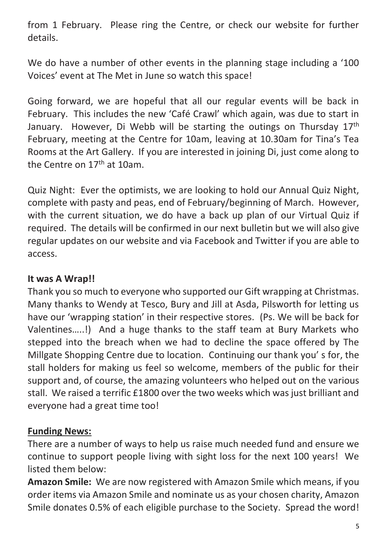from 1 February. Please ring the Centre, or check our website for further details.

We do have a number of other events in the planning stage including a '100 Voices' event at The Met in June so watch this space!

Going forward, we are hopeful that all our regular events will be back in February. This includes the new 'Café Crawl' which again, was due to start in January. However, Di Webb will be starting the outings on Thursday 17<sup>th</sup> February, meeting at the Centre for 10am, leaving at 10.30am for Tina's Tea Rooms at the Art Gallery. If you are interested in joining Di, just come along to the Centre on 17<sup>th</sup> at 10am.

Quiz Night: Ever the optimists, we are looking to hold our Annual Quiz Night, complete with pasty and peas, end of February/beginning of March. However, with the current situation, we do have a back up plan of our Virtual Quiz if required. The details will be confirmed in our next bulletin but we will also give regular updates on our website and via Facebook and Twitter if you are able to access.

#### **It was A Wrap!!**

Thank you so much to everyone who supported our Gift wrapping at Christmas. Many thanks to Wendy at Tesco, Bury and Jill at Asda, Pilsworth for letting us have our 'wrapping station' in their respective stores. (Ps. We will be back for Valentines…..!) And a huge thanks to the staff team at Bury Markets who stepped into the breach when we had to decline the space offered by The Millgate Shopping Centre due to location. Continuing our thank you' s for, the stall holders for making us feel so welcome, members of the public for their support and, of course, the amazing volunteers who helped out on the various stall. We raised a terrific £1800 over the two weeks which was just brilliant and everyone had a great time too!

#### **Funding News:**

There are a number of ways to help us raise much needed fund and ensure we continue to support people living with sight loss for the next 100 years! We listed them below:

**Amazon Smile:** We are now registered with Amazon Smile which means, if you order items via Amazon Smile and nominate us as your chosen charity, Amazon Smile donates 0.5% of each eligible purchase to the Society. Spread the word!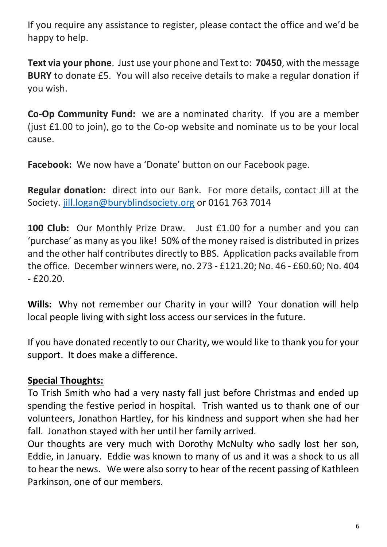If you require any assistance to register, please contact the office and we'd be happy to help.

**Text via your phone**. Just use your phone and Text to: **70450**, with the message **BURY** to donate £5. You will also receive details to make a regular donation if you wish.

**Co-Op Community Fund:** we are a nominated charity. If you are a member (just £1.00 to join), go to the Co-op website and nominate us to be your local cause.

**Facebook:** We now have a 'Donate' button on our Facebook page.

**Regular donation:** direct into our Bank. For more details, contact Jill at the Society. [jill.logan@buryblindsociety.org](mailto:jill.logan@buryblindsociety.org) or 0161 763 7014

**100 Club:** Our Monthly Prize Draw. Just £1.00 for a number and you can 'purchase' as many as you like! 50% of the money raised is distributed in prizes and the other half contributes directly to BBS. Application packs available from the office. December winners were, no. 273 - £121.20; No. 46 - £60.60; No. 404 - £20.20.

**Wills:** Why not remember our Charity in your will? Your donation will help local people living with sight loss access our services in the future.

If you have donated recently to our Charity, we would like to thank you for your support. It does make a difference.

#### **Special Thoughts:**

To Trish Smith who had a very nasty fall just before Christmas and ended up spending the festive period in hospital. Trish wanted us to thank one of our volunteers, Jonathon Hartley, for his kindness and support when she had her fall. Jonathon stayed with her until her family arrived.

Our thoughts are very much with Dorothy McNulty who sadly lost her son, Eddie, in January. Eddie was known to many of us and it was a shock to us all to hear the news. We were also sorry to hear of the recent passing of Kathleen Parkinson, one of our members.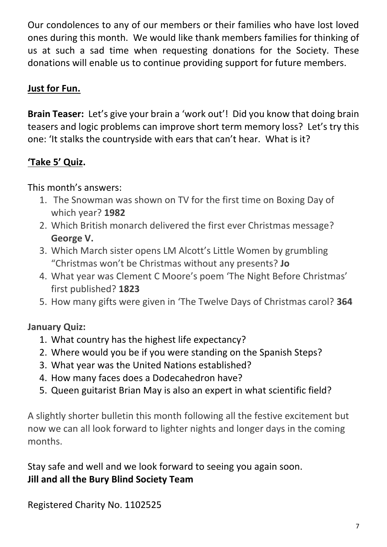Our condolences to any of our members or their families who have lost loved ones during this month. We would like thank members families for thinking of us at such a sad time when requesting donations for the Society. These donations will enable us to continue providing support for future members.

## **Just for Fun.**

**Brain Teaser:** Let's give your brain a 'work out'! Did you know that doing brain teasers and logic problems can improve short term memory loss? Let's try this one: 'It stalks the countryside with ears that can't hear. What is it?

## **'Take 5' Quiz.**

This month's answers:

- 1. The Snowman was shown on TV for the first time on Boxing Day of which year? **1982**
- 2. Which British monarch delivered the first ever Christmas message? **George V.**
- 3. Which March sister opens LM Alcott's Little Women by grumbling "Christmas won't be Christmas without any presents? **Jo**
- 4. What year was Clement C Moore's poem 'The Night Before Christmas' first published? **1823**
- 5. How many gifts were given in 'The Twelve Days of Christmas carol? **364**

## **January Quiz:**

- 1. What country has the highest life expectancy?
- 2. Where would you be if you were standing on the Spanish Steps?
- 3. What year was the United Nations established?
- 4. How many faces does a Dodecahedron have?
- 5. Queen guitarist Brian May is also an expert in what scientific field?

A slightly shorter bulletin this month following all the festive excitement but now we can all look forward to lighter nights and longer days in the coming months.

Stay safe and well and we look forward to seeing you again soon. **Jill and all the Bury Blind Society Team**

Registered Charity No. 1102525